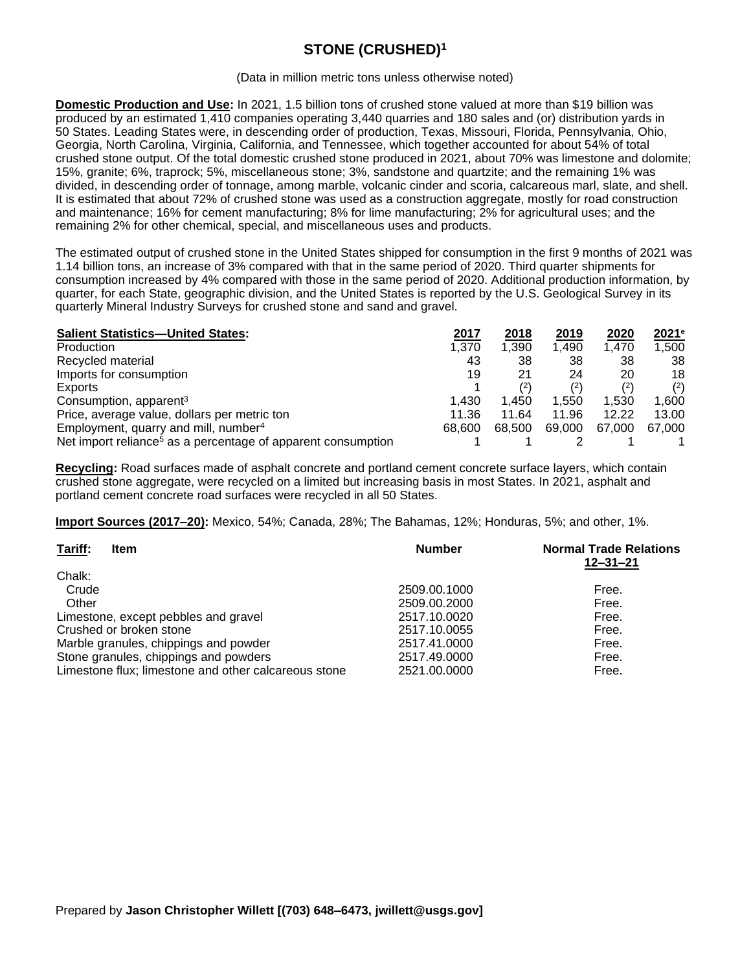# **STONE (CRUSHED)<sup>1</sup>**

#### (Data in million metric tons unless otherwise noted)

**Domestic Production and Use:** In 2021, 1.5 billion tons of crushed stone valued at more than \$19 billion was produced by an estimated 1,410 companies operating 3,440 quarries and 180 sales and (or) distribution yards in 50 States. Leading States were, in descending order of production, Texas, Missouri, Florida, Pennsylvania, Ohio, Georgia, North Carolina, Virginia, California, and Tennessee, which together accounted for about 54% of total crushed stone output. Of the total domestic crushed stone produced in 2021, about 70% was limestone and dolomite; 15%, granite; 6%, traprock; 5%, miscellaneous stone; 3%, sandstone and quartzite; and the remaining 1% was divided, in descending order of tonnage, among marble, volcanic cinder and scoria, calcareous marl, slate, and shell. It is estimated that about 72% of crushed stone was used as a construction aggregate, mostly for road construction and maintenance; 16% for cement manufacturing; 8% for lime manufacturing; 2% for agricultural uses; and the remaining 2% for other chemical, special, and miscellaneous uses and products.

The estimated output of crushed stone in the United States shipped for consumption in the first 9 months of 2021 was 1.14 billion tons, an increase of 3% compared with that in the same period of 2020. Third quarter shipments for consumption increased by 4% compared with those in the same period of 2020. Additional production information, by quarter, for each State, geographic division, and the United States is reported by the U.S. Geological Survey in its quarterly Mineral Industry Surveys for crushed stone and sand and gravel.

| <b>Salient Statistics-United States:</b>                                 | 2017   | 2018   | 2019   | 2020   | 2021e  |
|--------------------------------------------------------------------------|--------|--------|--------|--------|--------|
| Production                                                               | 1.370  | 1.390  | 1.490  | 1.470  | 1,500  |
| Recycled material                                                        | 43     | 38     | 38     | 38     | 38     |
| Imports for consumption                                                  | 19     | 21     | 24     | 20     | 18     |
| Exports                                                                  |        | (2)    | (2)    | (2)    | (2)    |
| Consumption, apparent <sup>3</sup>                                       | 1.430  | 1.450  | 1.550  | 1.530  | 1.600  |
| Price, average value, dollars per metric ton                             | 11.36  | 11.64  | 11.96  | 12.22  | 13.00  |
| Employment, quarry and mill, number <sup>4</sup>                         | 68,600 | 68.500 | 69.000 | 67.000 | 67.000 |
| Net import reliance <sup>5</sup> as a percentage of apparent consumption |        |        |        |        |        |

**Recycling:** Road surfaces made of asphalt concrete and portland cement concrete surface layers, which contain crushed stone aggregate, were recycled on a limited but increasing basis in most States. In 2021, asphalt and portland cement concrete road surfaces were recycled in all 50 States.

**Import Sources (2017–20):** Mexico, 54%; Canada, 28%; The Bahamas, 12%; Honduras, 5%; and other, 1%.

| Tariff:<br><b>Item</b>                               | <b>Number</b> | <b>Normal Trade Relations</b><br>$12 - 31 - 21$ |
|------------------------------------------------------|---------------|-------------------------------------------------|
| Chalk:                                               |               |                                                 |
| Crude                                                | 2509.00.1000  | Free.                                           |
| Other                                                | 2509.00.2000  | Free.                                           |
| Limestone, except pebbles and gravel                 | 2517.10.0020  | Free.                                           |
| Crushed or broken stone                              | 2517.10.0055  | Free.                                           |
| Marble granules, chippings and powder                | 2517.41.0000  | Free.                                           |
| Stone granules, chippings and powders                | 2517.49.0000  | Free.                                           |
| Limestone flux; limestone and other calcareous stone | 2521.00.0000  | Free.                                           |